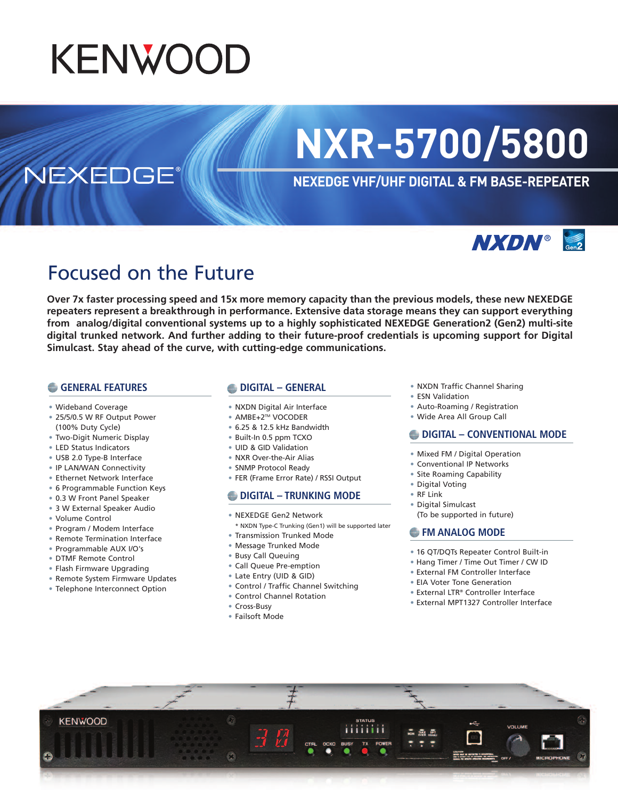# **KENWOOD**

# **NXR-5700/5800**

# **NEXEDGE VHF/UHF DIGITAL & FM BASE-REPEATER**



# Focused on the Future

**Over 7x faster processing speed and 15x more memory capacity than the previous models, these new NEXEDGE repeaters represent a breakthrough in performance. Extensive data storage means they can support everything from analog/digital conventional systems up to a highly sophisticated NEXEDGE Generation2 (Gen2) multi-site digital trunked network. And further adding to their future-proof credentials is upcoming support for Digital Simulcast. Stay ahead of the curve, with cutting-edge communications.**

#### **GENERAL FEATURES**

**NEXEDGE** 

- Wideband Coverage
- 25/5/0.5 W RF Output Power (100% Duty Cycle)
- Two-Digit Numeric Display
- LED Status Indicators
- USB 2.0 Type-B Interface
- IP LAN/WAN Connectivity
- Ethernet Network Interface
- 6 Programmable Function Keys
- 0.3 W Front Panel Speaker
- 3 W External Speaker Audio
- Volume Control
- Program / Modem Interface
- Remote Termination Interface
- Programmable AUX I/O's
- DTMF Remote Control
- Flash Firmware Upgrading
- Remote System Firmware Updates
- Telephone Interconnect Option

#### **DIGITAL – GENERAL**

- NXDN Digital Air Interface
- AMBE+2TM VOCODER
- 6.25 & 12.5 kHz Bandwidth
- Built-In 0.5 ppm TCXO
- UID & GID Validation
- NXR Over-the-Air Alias
- SNMP Protocol Ready
- FER (Frame Error Rate) / RSSI Output

#### **DIGITAL – TRUNKING MODE**

- NEXEDGE Gen2 Network
- \* NXDN Type-C Trunking (Gen1) will be supported later
- Transmission Trunked Mode
- Message Trunked Mode
- Busy Call Queuing
- Call Queue Pre-emption
- Late Entry (UID & GID)
- Control / Traffic Channel Switching
- Control Channel Rotation
- Cross-Busy
- Failsoft Mode
- NXDN Traffic Channel Sharing
- ESN Validation
- Auto-Roaming / Registration
- Wide Area All Group Call

#### **DIGITAL – CONVENTIONAL MODE**

- Mixed FM / Digital Operation
- Conventional IP Networks
- Site Roaming Capability
- Digital Voting
- RF Link
- Digital Simulcast
- (To be supported in future)

#### **FM ANALOG MODE**

- 16 QT/DQTs Repeater Control Built-in
- Hang Timer / Time Out Timer / CW ID
- External FM Controller Interface
- EIA Voter Tone Generation
- External LTR® Controller Interface
- External MPT1327 Controller Interface